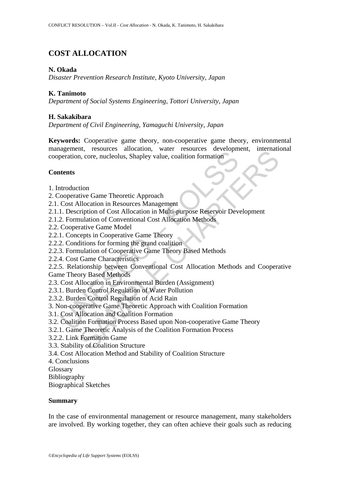# **COST ALLOCATION**

## **N. Okada**

*Disaster Prevention Research Institute, Kyoto University, Japan* 

# **K. Tanimoto**

*Department of Social Systems Engineering, Tottori University, Japan* 

## **H. Sakakibara**

*Department of Civil Engineering, Yamaguchi University, Japan* 

**Keywords:** Cooperative game theory, non-cooperative game theory, environmental management, resources allocation, water resources development, international cooperation, core, nucleolus, Shapley value, coalition formation

## **Contents**

- 1. Introduction
- 2. Cooperative Game Theoretic Approach
- 2.1. Cost Allocation in Resources Management
- 2.1.1. Description of Cost Allocation in Multi-purpose Reservoir Development
- 2.1.2. Formulation of Conventional Cost Allocation Methods
- 2.2. Cooperative Game Model
- 2.2.1. Concepts in Cooperative Game Theory
- 2.2.2. Conditions for forming the grand coalition
- 2.2.3. Formulation of Cooperative Game Theory Based Methods
- 2.2.4. Cost Game Characteristics

Experient, resolutedly, which resoluted increases and the<br>peration, core, nucleolus, Shapley value, coalition formation<br>tents<br>traduction<br>Coordinus Game Theoretic Approach<br>Cost Allocation in Resources Management<br>1. Descript Internation, water resources antioching, matrix<br>
action, core, nucleolus, Shapley value, coalition formation<br>
tive Game Theoretic Approach<br>
Illocation in Resources Management<br>
unlation of Cost Allocation in Multi-purpose R 2.2.5. Relationship between Conventional Cost Allocation Methods and Cooperative Game Theory Based Methods

- 2.3. Cost Allocation in Environmental Burden (Assignment)
- 2.3.1. Burden Control Regulation of Water Pollution
- 2.3.2. Burden Control Regulation of Acid Rain
- 3. Non-cooperative Game Theoretic Approach with Coalition Formation
- 3.1. Cost Allocation and Coalition Formation
- 3.2. Coalition Formation Process Based upon Non-cooperative Game Theory
- 3.2.1. Game Theoretic Analysis of the Coalition Formation Process
- 3.2.2. Link Formation Game
- 3.3. Stability of Coalition Structure
- 3.4. Cost Allocation Method and Stability of Coalition Structure
- 4. Conclusions
- Glossary
- Bibliography

Biographical Sketches

#### **Summary**

In the case of environmental management or resource management, many stakeholders are involved. By working together, they can often achieve their goals such as reducing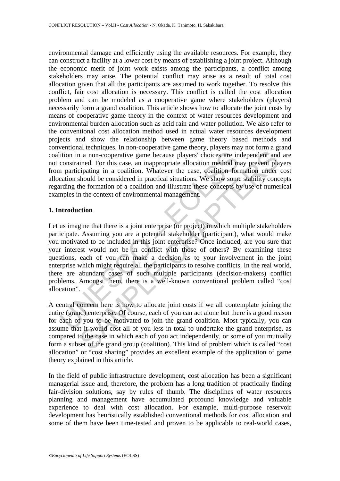environmental damage and efficiently using the available resources. For example, they can construct a facility at a lower cost by means of establishing a joint project. Although the economic merit of joint work exists among the participants, a conflict among stakeholders may arise. The potential conflict may arise as a result of total cost allocation given that all the participants are assumed to work together. To resolve this conflict, fair cost allocation is necessary. This conflict is called the cost allocation problem and can be modeled as a cooperative game where stakeholders (players) necessarily form a grand coalition. This article shows how to allocate the joint costs by means of cooperative game theory in the context of water resources development and environmental burden allocation such as acid rain and water pollution. We also refer to the conventional cost allocation method used in actual water resources development projects and show the relationship between game theory based methods and conventional techniques. In non-cooperative game theory, players may not form a grand coalition in a non-cooperative game because players' choices are independent and are not constrained. For this case, an inappropriate allocation method may prevent players from participating in a coalition. Whatever the case, coalition formation under cost allocation should be considered in practical situations. We show some stability concepts regarding the formation of a coalition and illustrate these concepts by use of numerical examples in the context of environmental management.

#### **1. Introduction**

ition in a non-cooperative game because players' choices are in<br>constrained. For this case, an inappropriate allocation method m<br>n participating in a coalition. Whatever the case, coalition for<br>action should be considered and a non-cooperative game because players' choices are independent and<br>ined. For this case, an inappropriate allocation method may prevent pla<br>injend in a coolition. Whatever the case, colition formation under<br>should be c Let us imagine that there is a joint enterprise (or project) in which multiple stakeholders participate. Assuming you are a potential stakeholder (participant), what would make you motivated to be included in this joint enterprise? Once included, are you sure that your interest would not be in conflict with those of others? By examining these questions, each of you can make a decision as to your involvement in the joint enterprise which might require all the participants to resolve conflicts. In the real world, there are abundant cases of such multiple participants (decision-makers) conflict problems. Amongst them, there is a well-known conventional problem called "cost allocation".

A central concern here is how to allocate joint costs if we all contemplate joining the entire (grand) enterprise. Of course, each of you can act alone but there is a good reason for each of you to be motivated to join the grand coalition. Most typically, you can assume that it would cost all of you less in total to undertake the grand enterprise, as compared to the case in which each of you act independently, or some of you mutually form a subset of the grand group (coalition). This kind of problem which is called "cost allocation" or "cost sharing" provides an excellent example of the application of game theory explained in this article.

In the field of public infrastructure development, cost allocation has been a significant managerial issue and, therefore, the problem has a long tradition of practically finding fair-division solutions, say by rules of thumb. The disciplines of water resources planning and management have accumulated profound knowledge and valuable experience to deal with cost allocation. For example, multi-purpose reservoir development has heuristically established conventional methods for cost allocation and some of them have been time-tested and proven to be applicable to real-world cases,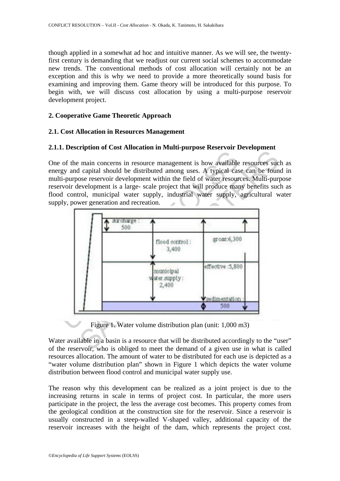though applied in a somewhat ad hoc and intuitive manner. As we will see, the twentyfirst century is demanding that we readjust our current social schemes to accommodate new trends. The conventional methods of cost allocation will certainly not be an exception and this is why we need to provide a more theoretically sound basis for examining and improving them. Game theory will be introduced for this purpose. To begin with, we will discuss cost allocation by using a multi-purpose reservoir development project.

### **2. Cooperative Game Theoretic Approach**

### **2.1. Cost Allocation in Resources Management**

### **2.1.1. Description of Cost Allocation in Multi-purpose Reservoir Development**

One of the main concerns in resource management is how available resources such as energy and capital should be distributed among uses. A typical case can be found in multi-purpose reservoir development within the field of water resources. Multi-purpose reservoir development is a large- scale project that will produce many benefits such as flood control, municipal water supply, industrial water supply, agricultural water supply, power generation and recreation.



Figure 1. Water volume distribution plan (unit: 1,000 m3)

Water available in a basin is a resource that will be distributed accordingly to the "user" of the reservoir, who is obliged to meet the demand of a given use in what is called resources allocation. The amount of water to be distributed for each use is depicted as a "water volume distribution plan" shown in Figure 1 which depicts the water volume distribution between flood control and municipal water supply use.

The reason why this development can be realized as a joint project is due to the increasing returns in scale in terms of project cost. In particular, the more users participate in the project, the less the average cost becomes. This property comes from the geological condition at the construction site for the reservoir. Since a reservoir is usually constructed in a steep-walled V-shaped valley, additional capacity of the reservoir increases with the height of the dam, which represents the project cost.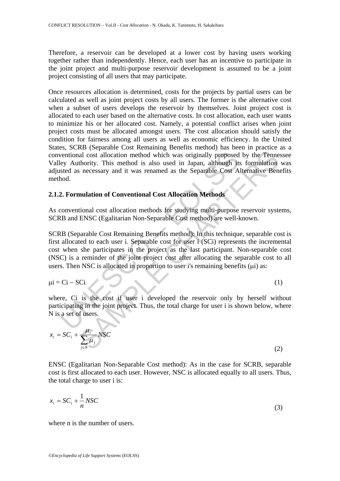Therefore, a reservoir can be developed at a lower cost by having users working together rather than independently. Hence, each user has an incentive to participate in the joint project and multi-purpose reservoir development is assumed to be a joint project consisting of all users that may participate.

Once resources allocation is determined, costs for the projects by partial users can be calculated as well as joint project costs by all users. The former is the alternative cost when a subset of users develops the reservoir by themselves. Joint project cost is allocated to each user based on the alternative costs. In cost allocation, each user wants to minimize his or her allocated cost. Namely, a potential conflict arises when joint project costs must be allocated amongst users. The cost allocation should satisfy the condition for fairness among all users as well as economic efficiency. In the United States, SCRB (Separable Cost Remaining Benefits method) has been in practice as a conventional cost allocation method which was originally proposed by the Tennessee Valley Authority. This method is also used in Japan, although its formulation was adjusted as necessary and it was renamed as the Separable Cost Alternative Benefits method.

### **2.1.2. Formulation of Conventional Cost Allocation Methods**

As conventional cost allocation methods for studying multi-purpose reservoir systems, SCRB and ENSC (Egalitarian Non-Separable Cost method) are well-known.

ventional cost allocation method which was originally proposed<br>tey Authority. This method is also used in Japan, although it<br>steed as necessary and it was renamed as the Separable Cost A<br>hod.<br>2. Formulation of Conventional and cost allocation method which was originally proposed by the Tenne<br>thority. This method is also used in Japan, although its formulation<br>necessary and it was renamed as the Separable Cost Alternative Ben<br>**nulation of Co** SCRB (Separable Cost Remaining Benefits method): In this technique, separable cost is first allocated to each user i. Separable cost for user i (SCi) represents the incremental cost when she participates in the project as the last participant. Non-separable cost (NSC) is a reminder of the joint project cost after allocating the separable cost to all users. Then NSC is allocated in proportion to user i's remaining benefits (μi) as:

$$
\mu i = Ci - SCi \tag{1}
$$

where, Ci is the cost if user i developed the reservoir only by herself without participating in the joint project. Thus, the total charge for user i is shown below, where N is a set of users.

$$
x_i = SC_i + \frac{\mu_i}{\sum_{j \in N} \mu_j} NSC
$$
 (2)

ENSC (Egalitarian Non-Separable Cost method): As in the case for SCRB, separable cost is first allocated to each user. However, NSC is allocated equally to all users. Thus, the total charge to user i is:

$$
x_i = SC_i + \frac{1}{n} NSC
$$
 (3)

where n is the number of users.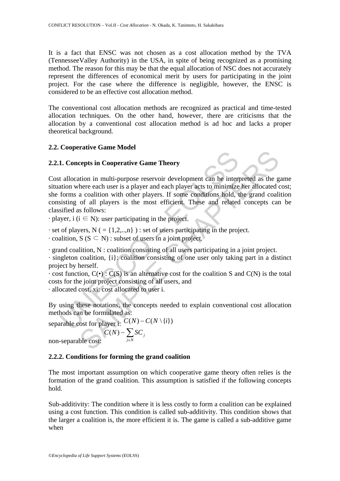It is a fact that ENSC was not chosen as a cost allocation method by the TVA (TennesseeValley Authority) in the USA, in spite of being recognized as a promising method. The reason for this may be that the equal allocation of NSC does not accurately represent the differences of economical merit by users for participating in the joint project. For the case where the difference is negligible, however, the ENSC is considered to be an effective cost allocation method.

The conventional cost allocation methods are recognized as practical and time-tested allocation techniques. On the other hand, however, there are criticisms that the allocation by a conventional cost allocation method is ad hoc and lacks a proper theoretical background.

# **2.2. Cooperative Game Model**

# **2.2.1. Concepts in Cooperative Game Theory**



 $\cdot$  player, i ( $i \in N$ ): user participating in the project.

- $\cdot$  set of players, N ( = {1,2,..,n}) : set of users participating in the project.
- $\cdot$  coalition, S (S  $\subseteq$  N) : subset of users in a joint project.

· grand coalition, N : coalition consisting of all users participating in a joint project.

· singleton coalition, {i}: coalition consisting of one user only taking part in a distinct project by herself.

 $\cdot$  cost function,  $C(\cdot)$ :  $C(S)$  is an alternative cost for the coalition S and  $C(N)$  is the total costs for the joint project consisting of all users, and

· allocated cost, xi: cost allocated to user i.

By using these notations, the concepts needed to explain conventional cost allocation methods can be formulated as:

separable cost for player i:  $C(N) - C(N \setminus \{i\})$ 

$$
C(N) - \sum_{j \in N} SC_j
$$

non-separable cost:

# **2.2.2. Conditions for forming the grand coalition**

The most important assumption on which cooperative game theory often relies is the formation of the grand coalition. This assumption is satisfied if the following concepts hold.

Sub-additivity: The condition where it is less costly to form a coalition can be explained using a cost function. This condition is called sub-additivity. This condition shows that the larger a coalition is, the more efficient it is. The game is called a sub-additive game when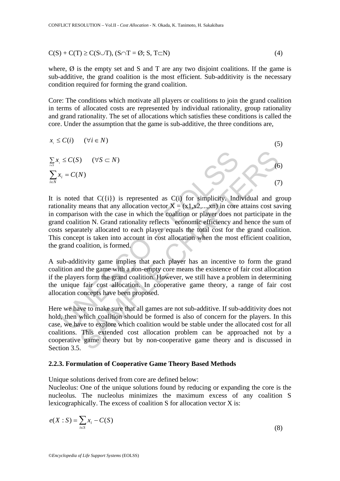$$
C(S) + C(T) \ge C(S \cup T), (S \cap T = \emptyset; S, T \subset N)
$$
\n<sup>(4)</sup>

where,  $\emptyset$  is the empty set and S and T are any two disjoint coalitions. If the game is sub-additive, the grand coalition is the most efficient. Sub-additivity is the necessary condition required for forming the grand coalition.

Core: The conditions which motivate all players or coalitions to join the grand coalition in terms of allocated costs are represented by individual rationality, group rationality and grand rationality. The set of allocations which satisfies these conditions is called the core. Under the assumption that the game is sub-additive, the three conditions are,

$$
x_i \le C(i) \quad (\forall i \in N)
$$
\n
$$
\sum_{i \in S} x_i \le C(S) \quad (\forall S \subset N)
$$
\n
$$
\sum_{i \in N} x_i = C(N)
$$
\n(5)

 $x_i = C(S)$  ( $\forall S \subset N$ )<br>
s noted that  $C(\{i\})$  is represented as  $C(i)$  for simplicity. Indonality means that any allocation vector  $X = (x1,x2,...,xn)$  in core comparison with the case in which the coalition or player does not d co Solution ( $\forall S \subset N$ )<br>
Solution ( $\exists S \in N$ ) is represented as C(i) for simplicity. Individual and given and the case in which the coalition or player does not participate in the case of a mixing and this more attains cost so It is noted that  $C({i})$  is represented as  $C(i)$  for simplicity. Individual and group rationality means that any allocation vector  $\mathbf{X} = (\mathbf{x} 1, \mathbf{x} 2, \dots, \mathbf{x} n)$  in core attains cost saving in comparison with the case in which the coalition or player does not participate in the grand coalition N. Grand rationality reflects economic efficiency and hence the sum of costs separately allocated to each player equals the total cost for the grand coalition. This concept is taken into account in cost allocation when the most efficient coalition, the grand coalition, is formed.

A sub-additivity game implies that each player has an incentive to form the grand coalition and the game with a non-empty core means the existence of fair cost allocation if the players form the grand coalition. However, we still have a problem in determining the unique fair cost allocation. In cooperative game theory, a range of fair cost allocation concepts have been proposed.

Here we have to make sure that all games are not sub-additive. If sub-additivity does not hold, then which coalition should be formed is also of concern for the players. In this case, we have to explore which coalition would be stable under the allocated cost for all coalitions. This extended cost allocation problem can be approached not by a cooperative game theory but by non-cooperative game theory and is discussed in Section 3.5.

#### **2.2.3. Formulation of Cooperative Game Theory Based Methods**

Unique solutions derived from core are defined below:

Nucleolus: One of the unique solutions found by reducing or expanding the core is the nucleolus. The nucleolus minimizes the maximum excess of any coalition S lexicographically. The excess of coalition S for allocation vector X is:

$$
e(X:S) = \sum_{i \in S} x_i - C(S) \tag{8}
$$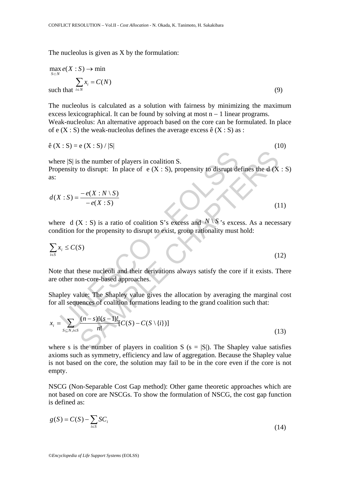The nucleolus is given as X by the formulation:

$$
\max_{S \subset N} e(X : S) \to \min_{S \subset N} \sum_{i \in N} x_i = C(N)
$$
\nsuch that

\n
$$
i \in N \tag{9}
$$

The nucleolus is calculated as a solution with fairness by minimizing the maximum excess lexicographical. It can be found by solving at most  $n - 1$  linear programs. Weak-nucleolus: An alternative approach based on the core can be formulated. In place of e  $(X : S)$  the weak-nucleolus defines the average excess  $\hat{e}(X : S)$  as :

$$
\hat{e}(X : S) = e(X : S) / |S|
$$
 (10)

For  $|S|$  is the number of players in coalition S.<br>
Sensity to disrupt: In place of e (X : S), propensity to disrupt de<br>  $X : S$ ) =  $\frac{-e(X : N \setminus S)}{-e(X : S)}$ <br>
The d (X : S) is a ratio of coalition S's excess and N \ S's excess<br> where  $|S|$  is the number of players in coalition S. Propensity to disrupt: In place of e  $(X : S)$ , propensity to disrupt defines the d  $(X : S)$ as:

$$
d(X:S) = \frac{-e(X:N \setminus S)}{-e(X:S)}
$$
(11)

where d (X : S) is a ratio of coalition S's excess and  $N \setminus S$ 's excess. As a necessary condition for the propensity to disrupt to exist, group rationality must hold:

$$
\sum_{i \in S} x_i \le C(S) \tag{12}
$$

Note that these nucleoli and their derivations always satisfy the core if it exists. There are other non-core-based approaches.

Shapley value: The Shapley value gives the allocation by averaging the marginal cost for all sequences of coalition formations leading to the grand coalition such that:

where 
$$
|S|
$$
 is the number of players in coalition S.  
\nPropensity to disrupt: In place of e (X : S), propensity to disrupt defines the d (X : S as:  
\nas:  
\n
$$
d(X : S) = \frac{-e(X : N \setminus S)}{-e(X : S)}
$$
\n(11)  
\nwhere d (X : S) is a ratio of coalition S's excess and  $N \setminus S$ 's excess. As a necessary  
\ncondition for the propensity to disrupt to exist, group rationality must hold:  
\n
$$
\sum_{i \in S} x_i \leq C(S)
$$
\n(12)  
\nNote that these nucleol and their derivations always satisfy the core if it exists. There  
\nare other non-core-based approaches.  
\nShapley value: The Shapley value gives the allocation by averaging the marginal co  
\nfor all sequences of coalition formulations leading to the grand coalition such that:  
\n
$$
x_i = \sum_{S \subseteq N, i \in S} \frac{(n - s)!(s - 1)!}{n!} [C(S) - C(S \setminus \{i\})]
$$
\n(13)  
\nwhere s is the number of players in coalition S (s = |S|). The Shapley value satisfies

where s is the number of players in coalition S  $(s = |S|)$ . The Shapley value satisfies axioms such as symmetry, efficiency and law of aggregation. Because the Shapley value is not based on the core, the solution may fail to be in the core even if the core is not empty.

NSCG (Non-Separable Cost Gap method): Other game theoretic approaches which are not based on core are NSCGs. To show the formulation of NSCG, the cost gap function is defined as:

$$
g(S) = C(S) - \sum_{i \in S} SC_i \tag{14}
$$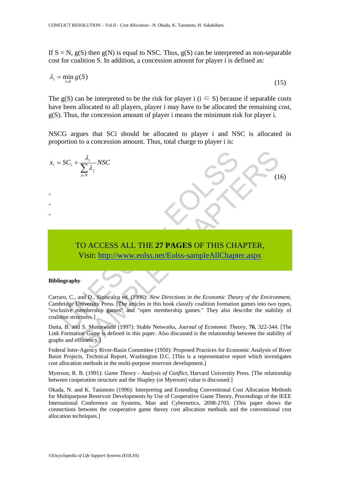If  $S = N$ ,  $g(S)$  then  $g(N)$  is equal to NSC. Thus,  $g(S)$  can be interpreted as non-separable cost for coalition S. In addition, a concession amount for player i is defined as:

$$
\lambda_i = \min_{i \in S} g(S) \tag{15}
$$

The g(S) can be interpreted to be the risk for player i ( $i \in S$ ) because if separable costs have been allocated to all players, player i may have to be allocated the remaining cost, g(S). Thus, the concession amount of player i means the minimum risk for player i.

NSCG argues that SCi should be allocated to player i and NSC is allocated in proportion to a concession amount. Thus, total charge to player i is:

$$
x_i = SC_i + \frac{\lambda_i}{\sum_{j \in N} \lambda_j} NSC
$$
  
\nTO ACCESS ALL THE 27 PAGES OF THIS CHAPTER,  
\nVisit: <http://www.eolss.net/Eolss-sampleAllChapter.aspx>  
\nBibliography  
\nCararo, C., and D., Siniscalco ed. (1996): *New Directions in the Economic Theory of the Environment*  
\nCambridge University Press. [The articles in this book classify coalition formation games into two type  
\nreclusive membership games" and "open membership games." They also describe the stability coalition structures.]  
\nDutta, B. and S. Mutuswami (1997): Stable Networks, *Journal of Economic Theory*, 76, 322-344. [Th  
\nGraphs and efficiency.]  
\nFederal Inter-Asencv River-Rasin Committee (1950): Promosed Practice for Economic Analysis of Riv

# TO ACCESS ALL THE **27 PAGES** OF THIS CHAPTER, Visit: http://www.eolss.net/Eolss-sampleAllChapter.aspx

#### **Bibliography**

Carraro, C., and D., Siniscalco ed. (1996): *New Directions in the Economic Theory of the Environment*, Cambridge University Press. [The articles in this book classify coalition formation games into two types, "exclusive membership games" and "open membership games." They also describe the stability of coalition structures.]

Dutta, B. and S. Mutuswami (1997): Stable Networks, *Journal of Economic Theory*, **76**, 322-344. [The Link Formation Game is defined in this paper. Also discussed is the relationship between the stability of graphs and efficiency.]

Federal Inter-Agency River-Basin Committee (1950): Proposed Practices for Economic Analysis of River Basin Projects, Technical Report, Washington D.C. [This is a representative report which investigates cost allocation methods in the multi-purpose reservoir development.]

Myerson, R. B. (1991): *Game Theory - Analysis of Conflict*, Harvard University Press. [The relationship between cooperation structure and the Shapley (or Myerson) value is discussed.]

Okada, N. and K. Tanimoto (1996): Interpreting and Extending Conventional Cost Allocation Methods for Multipurpose Reservoir Developments by Use of Cooperative Game Theory, Proceedings of the IEEE International Conference on Systems, Man and Cybernetics, 2698-2703. [This paper shows the connections between the cooperative game theory cost allocation methods and the conventional cost allocation techniques.]